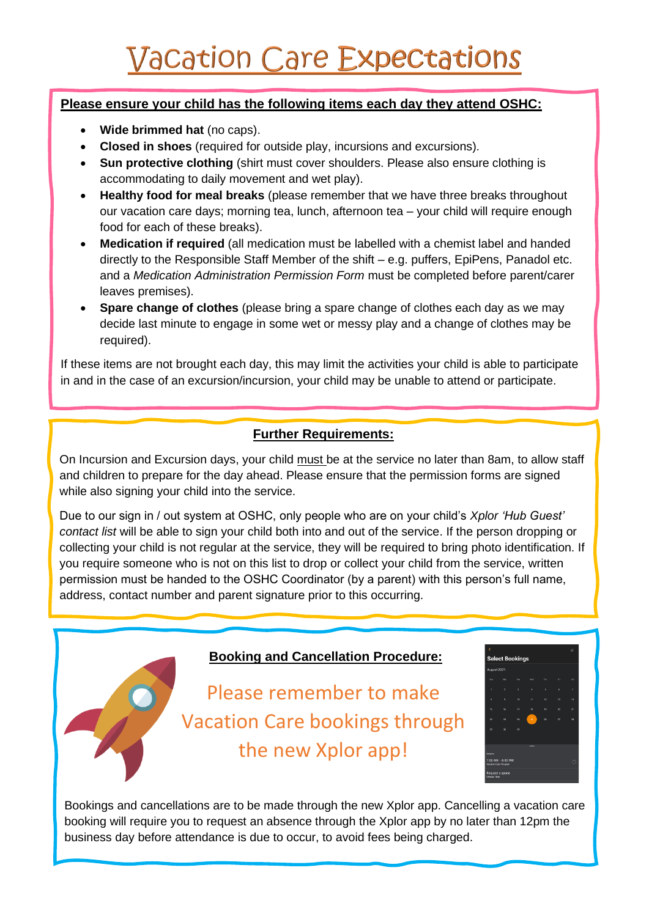### **Please ensure your child has the following items each day they attend OSHC:**

- **Wide brimmed hat** (no caps).
- **Closed in shoes** (required for outside play, incursions and excursions).
- **Sun protective clothing** (shirt must cover shoulders. Please also ensure clothing is accommodating to daily movement and wet play).
- **Healthy food for meal breaks** (please remember that we have three breaks throughout our vacation care days; morning tea, lunch, afternoon tea – your child will require enough food for each of these breaks).
- **Medication if required** (all medication must be labelled with a chemist label and handed directly to the Responsible Staff Member of the shift  $-e.a$ , puffers, EpiPens, Panadol etc. and a *Medication Administration Permission Form* must be completed before parent/carer leaves premises).
- **Spare change of clothes** (please bring a spare change of clothes each day as we may decide last minute to engage in some wet or messy play and a change of clothes may be required).

If these items are not brought each day, this may limit the activities your child is able to participate in and in the case of an excursion/incursion, your child may be unable to attend or participate.

## **Further Requirements:**

On Incursion and Excursion days, your child must be at the service no later than 8am, to allow staff and children to prepare for the day ahead. Please ensure that the permission forms are signed while also signing your child into the service.

Due to our sign in / out system at OSHC, only people who are on your child's *Xplor 'Hub Guest' contact list* will be able to sign your child both into and out of the service. If the person dropping or collecting your child is not regular at the service, they will be required to bring photo identification. If you require someone who is not on this list to drop or collect your child from the service, written permission must be handed to the OSHC Coordinator (by a parent) with this person's full name, address, contact number and parent signature prior to this occurring.

#### **Booking and Cancellation Procedure:**

Please remember to make Vacation Care bookings through the new Xplor app!



Bookings and cancellations are to be made through the new Xplor app. Cancelling a vacation care booking will require you to request an absence through the Xplor app by no later than 12pm the business day before attendance is due to occur, to avoid fees being charged.